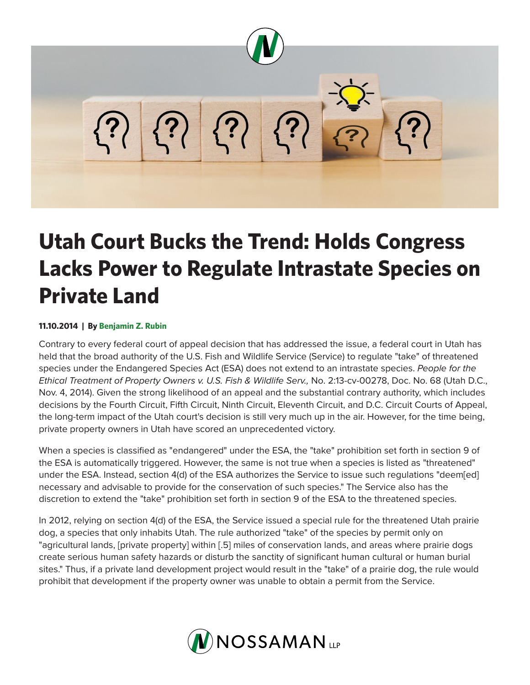

## **Utah Court Bucks the Trend: Holds Congress Lacks Power to Regulate Intrastate Species on Private Land**

## **11.10.2014 | By Benjamin Z. Rubin**

Contrary to every federal court of appeal decision that has addressed the issue, a federal court in Utah has held that the broad authority of the U.S. Fish and Wildlife Service (Service) to regulate "take" of threatened species under the Endangered Species Act (ESA) does not extend to an intrastate species. *People for the Ethical Treatment of Property Owners v. U.S. Fish & Wildlife Serv.,* No. 2:13-cv-00278, Doc. No. 68 (Utah D.C., Nov. 4, 2014). Given the strong likelihood of an appeal and the substantial contrary authority, which includes decisions by the Fourth Circuit, Fifth Circuit, Ninth Circuit, Eleventh Circuit, and D.C. Circuit Courts of Appeal, the long-term impact of the Utah court's decision is still very much up in the air. However, for the time being, private property owners in Utah have scored an unprecedented victory.

When a species is classified as "endangered" under the ESA, the "take" prohibition set forth in section 9 of the ESA is automatically triggered. However, the same is not true when a species is listed as "threatened" under the ESA. Instead, section 4(d) of the ESA authorizes the Service to issue such regulations "deem[ed] necessary and advisable to provide for the conservation of such species." The Service also has the discretion to extend the "take" prohibition set forth in section 9 of the ESA to the threatened species.

In 2012, relying on section 4(d) of the ESA, the Service issued a special rule for the threatened Utah prairie dog, a species that only inhabits Utah. The rule authorized "take" of the species by permit only on "agricultural lands, [private property] within [.5] miles of conservation lands, and areas where prairie dogs create serious human safety hazards or disturb the sanctity of significant human cultural or human burial sites." Thus, if a private land development project would result in the "take" of a prairie dog, the rule would prohibit that development if the property owner was unable to obtain a permit from the Service.

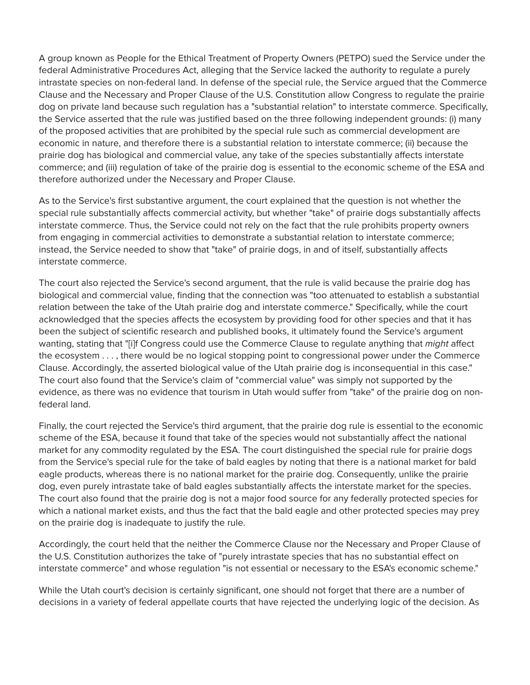A group known as People for the Ethical Treatment of Property Owners (PETPO) sued the Service under the federal Administrative Procedures Act, alleging that the Service lacked the authority to regulate a purely intrastate species on non-federal land. In defense of the special rule, the Service argued that the Commerce Clause and the Necessary and Proper Clause of the U.S. Constitution allow Congress to regulate the prairie dog on private land because such regulation has a "substantial relation" to interstate commerce. Specifically, the Service asserted that the rule was justified based on the three following independent grounds: (i) many of the proposed activities that are prohibited by the special rule such as commercial development are economic in nature, and therefore there is a substantial relation to interstate commerce; (ii) because the prairie dog has biological and commercial value, any take of the species substantially affects interstate commerce; and (iii) regulation of take of the prairie dog is essential to the economic scheme of the ESA and therefore authorized under the Necessary and Proper Clause.

As to the Service's first substantive argument, the court explained that the question is not whether the special rule substantially affects commercial activity, but whether "take" of prairie dogs substantially affects interstate commerce. Thus, the Service could not rely on the fact that the rule prohibits property owners from engaging in commercial activities to demonstrate a substantial relation to interstate commerce; instead, the Service needed to show that "take" of prairie dogs, in and of itself, substantially affects interstate commerce.

The court also rejected the Service's second argument, that the rule is valid because the prairie dog has biological and commercial value, finding that the connection was "too attenuated to establish a substantial relation between the take of the Utah prairie dog and interstate commerce." Specifically, while the court acknowledged that the species affects the ecosystem by providing food for other species and that it has been the subject of scientific research and published books, it ultimately found the Service's argument wanting, stating that "[i]f Congress could use the Commerce Clause to regulate anything that *might* affect the ecosystem . . . , there would be no logical stopping point to congressional power under the Commerce Clause. Accordingly, the asserted biological value of the Utah prairie dog is inconsequential in this case." The court also found that the Service's claim of "commercial value" was simply not supported by the evidence, as there was no evidence that tourism in Utah would suffer from "take" of the prairie dog on nonfederal land.

Finally, the court rejected the Service's third argument, that the prairie dog rule is essential to the economic scheme of the ESA, because it found that take of the species would not substantially affect the national market for any commodity regulated by the ESA. The court distinguished the special rule for prairie dogs from the Service's special rule for the take of bald eagles by noting that there is a national market for bald eagle products, whereas there is no national market for the prairie dog. Consequently, unlike the prairie dog, even purely intrastate take of bald eagles substantially affects the interstate market for the species. The court also found that the prairie dog is not a major food source for any federally protected species for which a national market exists, and thus the fact that the bald eagle and other protected species may prey on the prairie dog is inadequate to justify the rule.

Accordingly, the court held that the neither the Commerce Clause nor the Necessary and Proper Clause of the U.S. Constitution authorizes the take of "purely intrastate species that has no substantial effect on interstate commerce" and whose regulation "is not essential or necessary to the ESA's economic scheme."

While the Utah court's decision is certainly significant, one should not forget that there are a number of decisions in a variety of federal appellate courts that have rejected the underlying logic of the decision. As